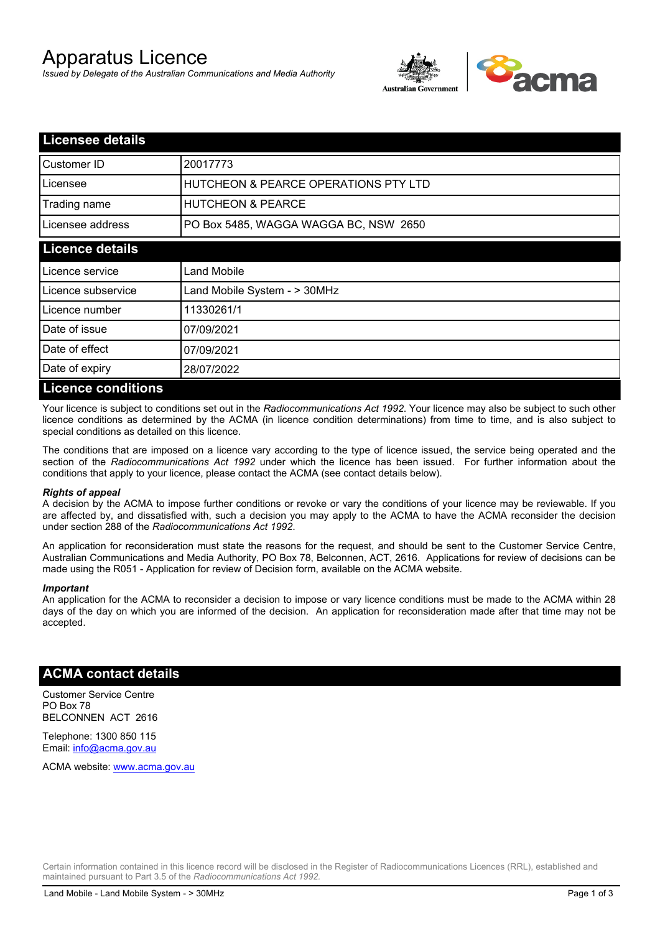# Apparatus Licence

*Issued by Delegate of the Australian Communications and Media Authority*



| <b>Licensee details</b>   |                                       |
|---------------------------|---------------------------------------|
| Customer ID               | 20017773                              |
| Licensee                  | HUTCHEON & PEARCE OPERATIONS PTY LTD  |
| Trading name              | <b>HUTCHEON &amp; PEARCE</b>          |
| Licensee address          | PO Box 5485, WAGGA WAGGA BC, NSW 2650 |
| <b>Licence details</b>    |                                       |
| Licence service           | Land Mobile                           |
| Licence subservice        | Land Mobile System - > 30MHz          |
| Licence number            | 11330261/1                            |
| Date of issue             | 07/09/2021                            |
| Date of effect            | 07/09/2021                            |
| Date of expiry            | 28/07/2022                            |
| <b>Licence conditions</b> |                                       |

Your licence is subject to conditions set out in the *Radiocommunications Act 1992*. Your licence may also be subject to such other licence conditions as determined by the ACMA (in licence condition determinations) from time to time, and is also subject to special conditions as detailed on this licence.

The conditions that are imposed on a licence vary according to the type of licence issued, the service being operated and the section of the *Radiocommunications Act 1992* under which the licence has been issued. For further information about the conditions that apply to your licence, please contact the ACMA (see contact details below).

#### *Rights of appeal*

A decision by the ACMA to impose further conditions or revoke or vary the conditions of your licence may be reviewable. If you are affected by, and dissatisfied with, such a decision you may apply to the ACMA to have the ACMA reconsider the decision under section 288 of the *Radiocommunications Act 1992*.

An application for reconsideration must state the reasons for the request, and should be sent to the Customer Service Centre, Australian Communications and Media Authority, PO Box 78, Belconnen, ACT, 2616. Applications for review of decisions can be made using the R051 - Application for review of Decision form, available on the ACMA website.

#### *Important*

An application for the ACMA to reconsider a decision to impose or vary licence conditions must be made to the ACMA within 28 days of the day on which you are informed of the decision. An application for reconsideration made after that time may not be accepted.

### **ACMA contact details**

Customer Service Centre PO Box 78 BELCONNEN ACT 2616

Telephone: 1300 850 115 Email: info@acma.gov.au

ACMA website: www.acma.gov.au

Certain information contained in this licence record will be disclosed in the Register of Radiocommunications Licences (RRL), established and maintained pursuant to Part 3.5 of the *Radiocommunications Act 1992.*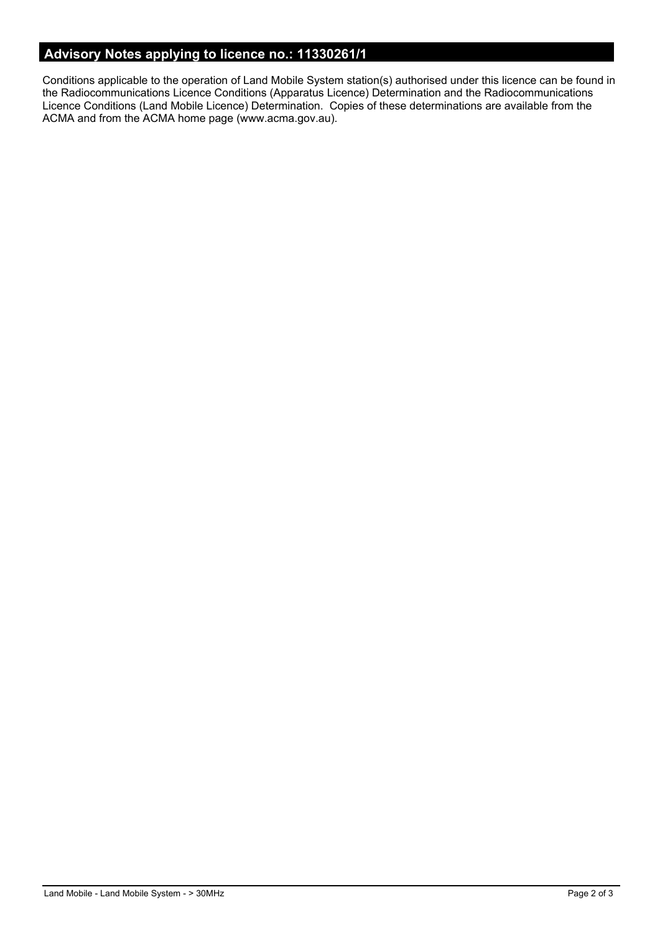# **Advisory Notes applying to licence no.: 11330261/1**

Conditions applicable to the operation of Land Mobile System station(s) authorised under this licence can be found in the Radiocommunications Licence Conditions (Apparatus Licence) Determination and the Radiocommunications Licence Conditions (Land Mobile Licence) Determination. Copies of these determinations are available from the ACMA and from the ACMA home page (www.acma.gov.au).